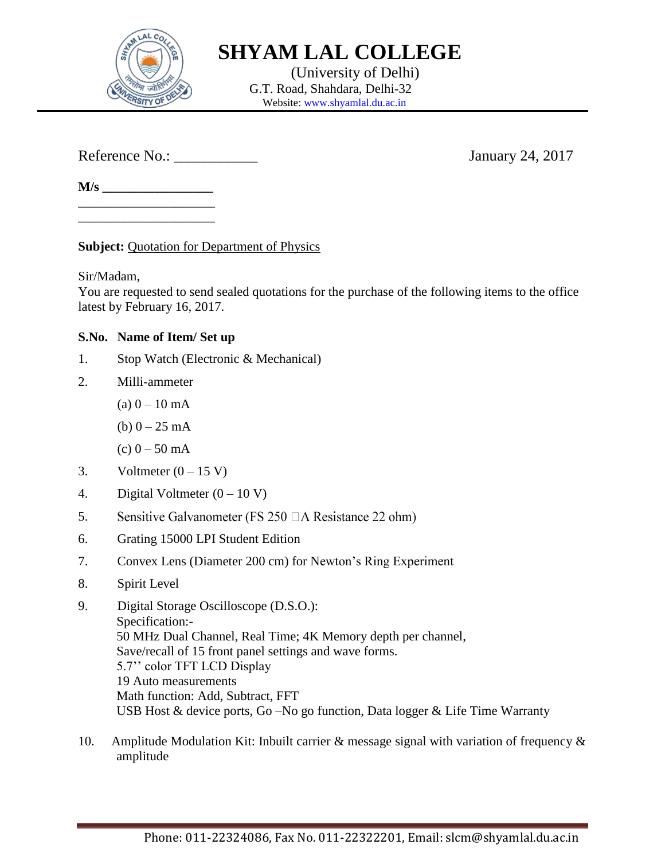

**SHYAM LAL COLLEGE**

 (University of Delhi) G.T. Road, Shahdara, Delhi-32 Website: [www.shyamlal.du.ac.in](http://www.shyamlal.du.ac.in/)

Reference No.: January 24, 2017

**M/s** 

\_\_\_\_\_\_\_\_\_\_\_\_\_\_\_\_\_\_\_\_\_ \_\_\_\_\_\_\_\_\_\_\_\_\_\_\_\_\_\_\_\_\_

**Subject:** Quotation for Department of Physics

Sir/Madam,

You are requested to send sealed quotations for the purchase of the following items to the office latest by February 16, 2017.

## **S.No. Name of Item/ Set up**

- 1. Stop Watch (Electronic & Mechanical)
- 2. Milli-ammeter
	- $(a)$  0 10 mA
	- (b)  $0 25$  mA
	- $(c)$  0 50 mA
- 3. Voltmeter  $(0 15 \text{ V})$
- 4. Digital Voltmeter  $(0 10 V)$
- 5. Sensitive Galvanometer (FS 250  $\Box$  A Resistance 22 ohm)
- 6. Grating 15000 LPI Student Edition
- 7. Convex Lens (Diameter 200 cm) for Newton's Ring Experiment
- 8. Spirit Level
- 9. Digital Storage Oscilloscope (D.S.O.): Specification:- 50 MHz Dual Channel, Real Time; 4K Memory depth per channel, Save/recall of 15 front panel settings and wave forms. 5.7'' color TFT LCD Display 19 Auto measurements Math function: Add, Subtract, FFT USB Host & device ports, Go –No go function, Data logger & Life Time Warranty
- 10. Amplitude Modulation Kit: Inbuilt carrier  $\&$  message signal with variation of frequency  $\&$ amplitude